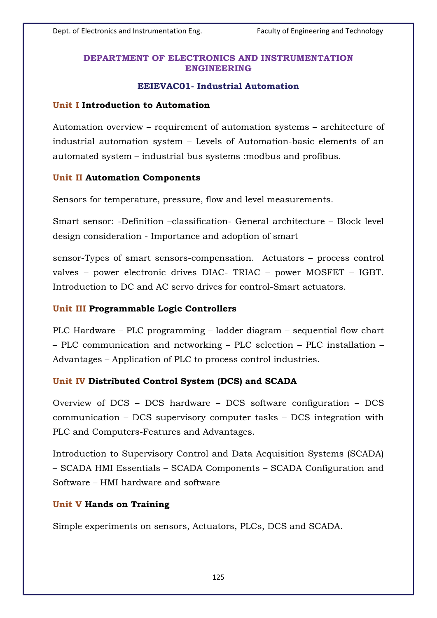## **DEPARTMENT OF ELECTRONICS AND INSTRUMENTATION ENGINEERING**

### **EEIEVAC01- Industrial Automation**

#### **Unit I Introduction to Automation**

Automation overview – requirement of automation systems – architecture of industrial automation system – Levels of Automation-basic elements of an automated system – industrial bus systems :modbus and profibus.

### **Unit II Automation Components**

Sensors for temperature, pressure, flow and level measurements.

Smart sensor: -Definition –classification- General architecture – Block level design consideration - Importance and adoption of smart

sensor-Types of smart sensors-compensation. Actuators – process control valves – power electronic drives DIAC- TRIAC – power MOSFET – IGBT. Introduction to DC and AC servo drives for control-Smart actuators.

#### **Unit III Programmable Logic Controllers**

PLC Hardware – PLC programming – ladder diagram – sequential flow chart – PLC communication and networking – PLC selection – PLC installation – Advantages – Application of PLC to process control industries.

#### **Unit IV Distributed Control System (DCS) and SCADA**

Overview of DCS – DCS hardware – DCS software configuration – DCS communication – DCS supervisory computer tasks – DCS integration with PLC and Computers-Features and Advantages.

Introduction to Supervisory Control and Data Acquisition Systems (SCADA) – SCADA HMI Essentials – SCADA Components – SCADA Configuration and Software – HMI hardware and software

#### **Unit V Hands on Training**

Simple experiments on sensors, Actuators, PLCs, DCS and SCADA.